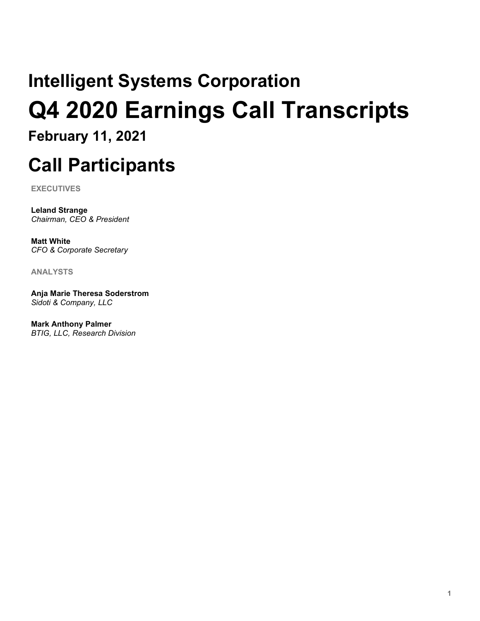# **Intelligent Systems Corporation Q4 2020 Earnings Call Transcripts**

**February 11, 2021**

# **Call Participants**

**EXECUTIVES**

**Leland Strange** *Chairman, CEO & President*

**Matt White** *CFO & Corporate Secretary*

**ANALYSTS**

**Anja Marie Theresa Soderstrom** *Sidoti & Company, LLC*

**Mark Anthony Palmer** *BTIG, LLC, Research Division*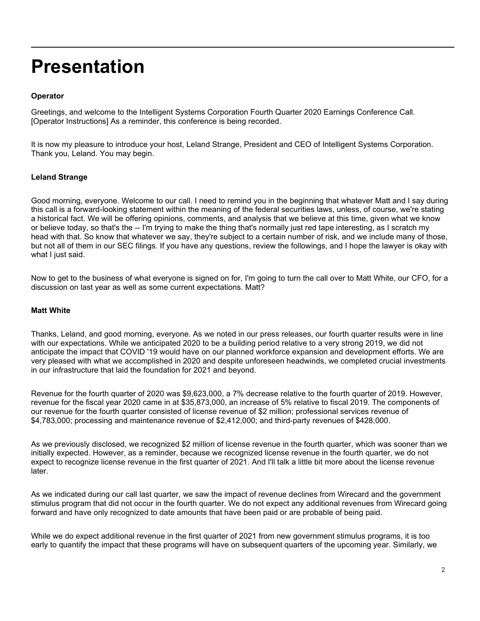## **Presentation**

#### **Operator**

Greetings, and welcome to the Intelligent Systems Corporation Fourth Quarter 2020 Earnings Conference Call. [Operator Instructions] As a reminder, this conference is being recorded.

It is now my pleasure to introduce your host, Leland Strange, President and CEO of Intelligent Systems Corporation. Thank you, Leland. You may begin.

#### **Leland Strange**

Good morning, everyone. Welcome to our call. I need to remind you in the beginning that whatever Matt and I say during this call is a forward-looking statement within the meaning of the federal securities laws, unless, of course, we're stating a historical fact. We will be offering opinions, comments, and analysis that we believe at this time, given what we know or believe today, so that's the -- I'm trying to make the thing that's normally just red tape interesting, as I scratch my head with that. So know that whatever we say, they're subject to a certain number of risk, and we include many of those, but not all of them in our SEC filings. If you have any questions, review the followings, and I hope the lawyer is okay with what I just said.

Now to get to the business of what everyone is signed on for, I'm going to turn the call over to Matt White, our CFO, for a discussion on last year as well as some current expectations. Matt?

#### **Matt White**

Thanks, Leland, and good morning, everyone. As we noted in our press releases, our fourth quarter results were in line with our expectations. While we anticipated 2020 to be a building period relative to a very strong 2019, we did not anticipate the impact that COVID '19 would have on our planned workforce expansion and development efforts. We are very pleased with what we accomplished in 2020 and despite unforeseen headwinds, we completed crucial investments in our infrastructure that laid the foundation for 2021 and beyond.

Revenue for the fourth quarter of 2020 was \$9,623,000, a 7% decrease relative to the fourth quarter of 2019. However, revenue for the fiscal year 2020 came in at \$35,873,000, an increase of 5% relative to fiscal 2019. The components of our revenue for the fourth quarter consisted of license revenue of \$2 million; professional services revenue of \$4,783,000; processing and maintenance revenue of \$2,412,000; and third-party revenues of \$428,000.

As we previously disclosed, we recognized \$2 million of license revenue in the fourth quarter, which was sooner than we initially expected. However, as a reminder, because we recognized license revenue in the fourth quarter, we do not expect to recognize license revenue in the first quarter of 2021. And I'll talk a little bit more about the license revenue later.

As we indicated during our call last quarter, we saw the impact of revenue declines from Wirecard and the government stimulus program that did not occur in the fourth quarter. We do not expect any additional revenues from Wirecard going forward and have only recognized to date amounts that have been paid or are probable of being paid.

While we do expect additional revenue in the first quarter of 2021 from new government stimulus programs, it is too early to quantify the impact that these programs will have on subsequent quarters of the upcoming year. Similarly, we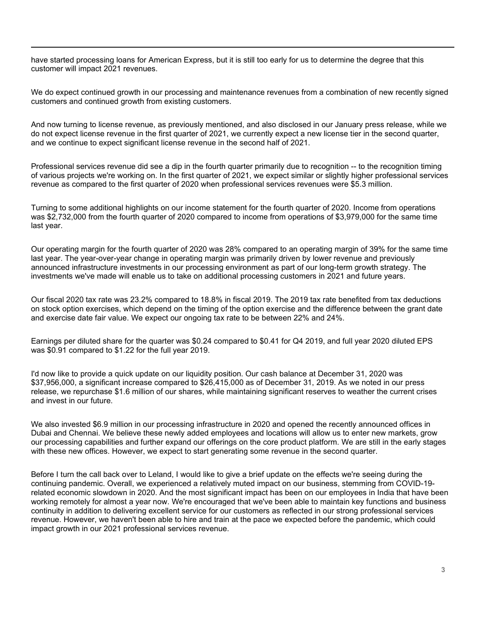have started processing loans for American Express, but it is still too early for us to determine the degree that this customer will impact 2021 revenues.

We do expect continued growth in our processing and maintenance revenues from a combination of new recently signed customers and continued growth from existing customers.

And now turning to license revenue, as previously mentioned, and also disclosed in our January press release, while we do not expect license revenue in the first quarter of 2021, we currently expect a new license tier in the second quarter, and we continue to expect significant license revenue in the second half of 2021.

Professional services revenue did see a dip in the fourth quarter primarily due to recognition -- to the recognition timing of various projects we're working on. In the first quarter of 2021, we expect similar or slightly higher professional services revenue as compared to the first quarter of 2020 when professional services revenues were \$5.3 million.

Turning to some additional highlights on our income statement for the fourth quarter of 2020. Income from operations was \$2,732,000 from the fourth quarter of 2020 compared to income from operations of \$3,979,000 for the same time last year.

Our operating margin for the fourth quarter of 2020 was 28% compared to an operating margin of 39% for the same time last year. The year-over-year change in operating margin was primarily driven by lower revenue and previously announced infrastructure investments in our processing environment as part of our long-term growth strategy. The investments we've made will enable us to take on additional processing customers in 2021 and future years.

Our fiscal 2020 tax rate was 23.2% compared to 18.8% in fiscal 2019. The 2019 tax rate benefited from tax deductions on stock option exercises, which depend on the timing of the option exercise and the difference between the grant date and exercise date fair value. We expect our ongoing tax rate to be between 22% and 24%.

Earnings per diluted share for the quarter was \$0.24 compared to \$0.41 for Q4 2019, and full year 2020 diluted EPS was \$0.91 compared to \$1.22 for the full year 2019.

I'd now like to provide a quick update on our liquidity position. Our cash balance at December 31, 2020 was \$37,956,000, a significant increase compared to \$26,415,000 as of December 31, 2019. As we noted in our press release, we repurchase \$1.6 million of our shares, while maintaining significant reserves to weather the current crises and invest in our future.

We also invested \$6.9 million in our processing infrastructure in 2020 and opened the recently announced offices in Dubai and Chennai. We believe these newly added employees and locations will allow us to enter new markets, grow our processing capabilities and further expand our offerings on the core product platform. We are still in the early stages with these new offices. However, we expect to start generating some revenue in the second quarter.

Before I turn the call back over to Leland, I would like to give a brief update on the effects we're seeing during the continuing pandemic. Overall, we experienced a relatively muted impact on our business, stemming from COVID-19 related economic slowdown in 2020. And the most significant impact has been on our employees in India that have been working remotely for almost a year now. We're encouraged that we've been able to maintain key functions and business continuity in addition to delivering excellent service for our customers as reflected in our strong professional services revenue. However, we haven't been able to hire and train at the pace we expected before the pandemic, which could impact growth in our 2021 professional services revenue.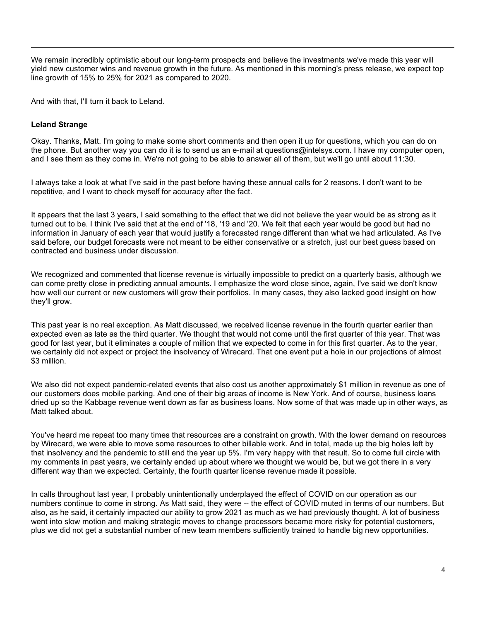We remain incredibly optimistic about our long-term prospects and believe the investments we've made this year will yield new customer wins and revenue growth in the future. As mentioned in this morning's press release, we expect top line growth of 15% to 25% for 2021 as compared to 2020.

And with that, I'll turn it back to Leland.

#### **Leland Strange**

Okay. Thanks, Matt. I'm going to make some short comments and then open it up for questions, which you can do on the phone. But another way you can do it is to send us an e-mail at questions@intelsys.com. I have my computer open, and I see them as they come in. We're not going to be able to answer all of them, but we'll go until about 11:30.

I always take a look at what I've said in the past before having these annual calls for 2 reasons. I don't want to be repetitive, and I want to check myself for accuracy after the fact.

It appears that the last 3 years, I said something to the effect that we did not believe the year would be as strong as it turned out to be. I think I've said that at the end of '18, '19 and '20. We felt that each year would be good but had no information in January of each year that would justify a forecasted range different than what we had articulated. As I've said before, our budget forecasts were not meant to be either conservative or a stretch, just our best guess based on contracted and business under discussion.

We recognized and commented that license revenue is virtually impossible to predict on a quarterly basis, although we can come pretty close in predicting annual amounts. I emphasize the word close since, again, I've said we don't know how well our current or new customers will grow their portfolios. In many cases, they also lacked good insight on how they'll grow.

This past year is no real exception. As Matt discussed, we received license revenue in the fourth quarter earlier than expected even as late as the third quarter. We thought that would not come until the first quarter of this year. That was good for last year, but it eliminates a couple of million that we expected to come in for this first quarter. As to the year, we certainly did not expect or project the insolvency of Wirecard. That one event put a hole in our projections of almost \$3 million.

We also did not expect pandemic-related events that also cost us another approximately \$1 million in revenue as one of our customers does mobile parking. And one of their big areas of income is New York. And of course, business loans dried up so the Kabbage revenue went down as far as business loans. Now some of that was made up in other ways, as Matt talked about.

You've heard me repeat too many times that resources are a constraint on growth. With the lower demand on resources by Wirecard, we were able to move some resources to other billable work. And in total, made up the big holes left by that insolvency and the pandemic to still end the year up 5%. I'm very happy with that result. So to come full circle with my comments in past years, we certainly ended up about where we thought we would be, but we got there in a very different way than we expected. Certainly, the fourth quarter license revenue made it possible.

In calls throughout last year, I probably unintentionally underplayed the effect of COVID on our operation as our numbers continue to come in strong. As Matt said, they were -- the effect of COVID muted in terms of our numbers. But also, as he said, it certainly impacted our ability to grow 2021 as much as we had previously thought. A lot of business went into slow motion and making strategic moves to change processors became more risky for potential customers, plus we did not get a substantial number of new team members sufficiently trained to handle big new opportunities.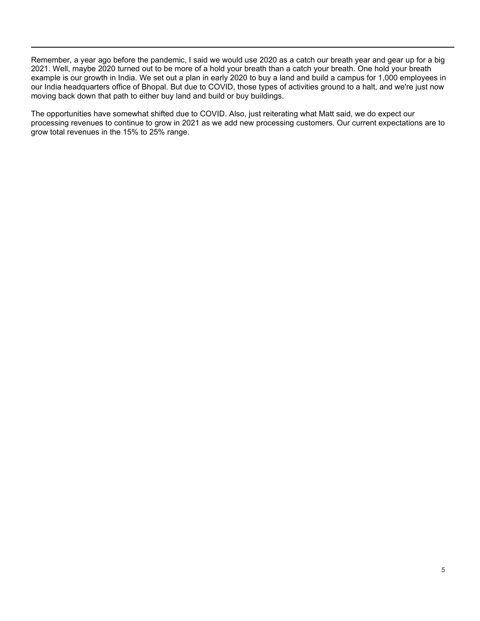Remember, a year ago before the pandemic, I said we would use 2020 as a catch our breath year and gear up for a big 2021. Well, maybe 2020 turned out to be more of a hold your breath than a catch your breath. One hold your breath example is our growth in India. We set out a plan in early 2020 to buy a land and build a campus for 1,000 employees in our India headquarters office of Bhopal. But due to COVID, those types of activities ground to a halt, and we're just now moving back down that path to either buy land and build or buy buildings.

The opportunities have somewhat shifted due to COVID. Also, just reiterating what Matt said, we do expect our processing revenues to continue to grow in 2021 as we add new processing customers. Our current expectations are to grow total revenues in the 15% to 25% range.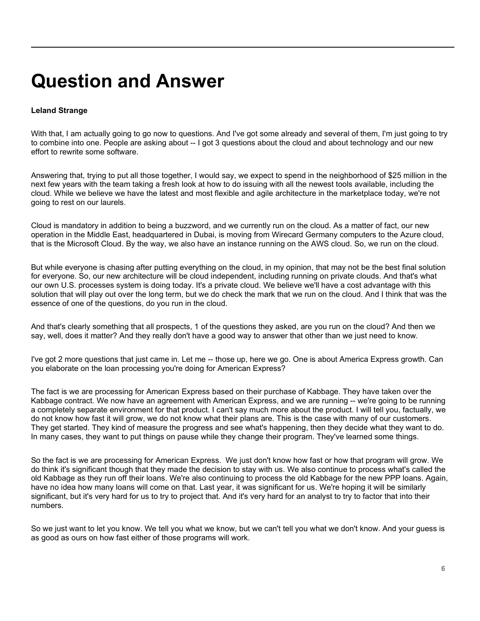## **Question and Answer**

#### **Leland Strange**

With that, I am actually going to go now to questions. And I've got some already and several of them, I'm just going to try to combine into one. People are asking about -- I got 3 questions about the cloud and about technology and our new effort to rewrite some software.

Answering that, trying to put all those together, I would say, we expect to spend in the neighborhood of \$25 million in the next few years with the team taking a fresh look at how to do issuing with all the newest tools available, including the cloud. While we believe we have the latest and most flexible and agile architecture in the marketplace today, we're not going to rest on our laurels.

Cloud is mandatory in addition to being a buzzword, and we currently run on the cloud. As a matter of fact, our new operation in the Middle East, headquartered in Dubai, is moving from Wirecard Germany computers to the Azure cloud, that is the Microsoft Cloud. By the way, we also have an instance running on the AWS cloud. So, we run on the cloud.

But while everyone is chasing after putting everything on the cloud, in my opinion, that may not be the best final solution for everyone. So, our new architecture will be cloud independent, including running on private clouds. And that's what our own U.S. processes system is doing today. It's a private cloud. We believe we'll have a cost advantage with this solution that will play out over the long term, but we do check the mark that we run on the cloud. And I think that was the essence of one of the questions, do you run in the cloud.

And that's clearly something that all prospects, 1 of the questions they asked, are you run on the cloud? And then we say, well, does it matter? And they really don't have a good way to answer that other than we just need to know.

I've got 2 more questions that just came in. Let me -- those up, here we go. One is about America Express growth. Can you elaborate on the loan processing you're doing for American Express?

The fact is we are processing for American Express based on their purchase of Kabbage. They have taken over the Kabbage contract. We now have an agreement with American Express, and we are running -- we're going to be running a completely separate environment for that product. I can't say much more about the product. I will tell you, factually, we do not know how fast it will grow, we do not know what their plans are. This is the case with many of our customers. They get started. They kind of measure the progress and see what's happening, then they decide what they want to do. In many cases, they want to put things on pause while they change their program. They've learned some things.

So the fact is we are processing for American Express. We just don't know how fast or how that program will grow. We do think it's significant though that they made the decision to stay with us. We also continue to process what's called the old Kabbage as they run off their loans. We're also continuing to process the old Kabbage for the new PPP loans. Again, have no idea how many loans will come on that. Last year, it was significant for us. We're hoping it will be similarly significant, but it's very hard for us to try to project that. And it's very hard for an analyst to try to factor that into their numbers.

So we just want to let you know. We tell you what we know, but we can't tell you what we don't know. And your guess is as good as ours on how fast either of those programs will work.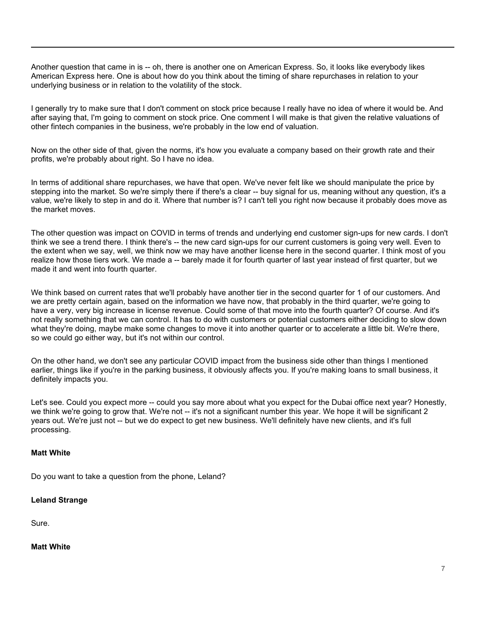Another question that came in is -- oh, there is another one on American Express. So, it looks like everybody likes American Express here. One is about how do you think about the timing of share repurchases in relation to your underlying business or in relation to the volatility of the stock.

I generally try to make sure that I don't comment on stock price because I really have no idea of where it would be. And after saying that, I'm going to comment on stock price. One comment I will make is that given the relative valuations of other fintech companies in the business, we're probably in the low end of valuation.

Now on the other side of that, given the norms, it's how you evaluate a company based on their growth rate and their profits, we're probably about right. So I have no idea.

In terms of additional share repurchases, we have that open. We've never felt like we should manipulate the price by stepping into the market. So we're simply there if there's a clear -- buy signal for us, meaning without any question, it's a value, we're likely to step in and do it. Where that number is? I can't tell you right now because it probably does move as the market moves.

The other question was impact on COVID in terms of trends and underlying end customer sign-ups for new cards. I don't think we see a trend there. I think there's -- the new card sign-ups for our current customers is going very well. Even to the extent when we say, well, we think now we may have another license here in the second quarter. I think most of you realize how those tiers work. We made a -- barely made it for fourth quarter of last year instead of first quarter, but we made it and went into fourth quarter.

We think based on current rates that we'll probably have another tier in the second quarter for 1 of our customers. And we are pretty certain again, based on the information we have now, that probably in the third quarter, we're going to have a very, very big increase in license revenue. Could some of that move into the fourth quarter? Of course. And it's not really something that we can control. It has to do with customers or potential customers either deciding to slow down what they're doing, maybe make some changes to move it into another quarter or to accelerate a little bit. We're there, so we could go either way, but it's not within our control.

On the other hand, we don't see any particular COVID impact from the business side other than things I mentioned earlier, things like if you're in the parking business, it obviously affects you. If you're making loans to small business, it definitely impacts you.

Let's see. Could you expect more -- could you say more about what you expect for the Dubai office next year? Honestly, we think we're going to grow that. We're not -- it's not a significant number this year. We hope it will be significant 2 years out. We're just not -- but we do expect to get new business. We'll definitely have new clients, and it's full processing.

#### **Matt White**

Do you want to take a question from the phone, Leland?

#### **Leland Strange**

Sure.

#### **Matt White**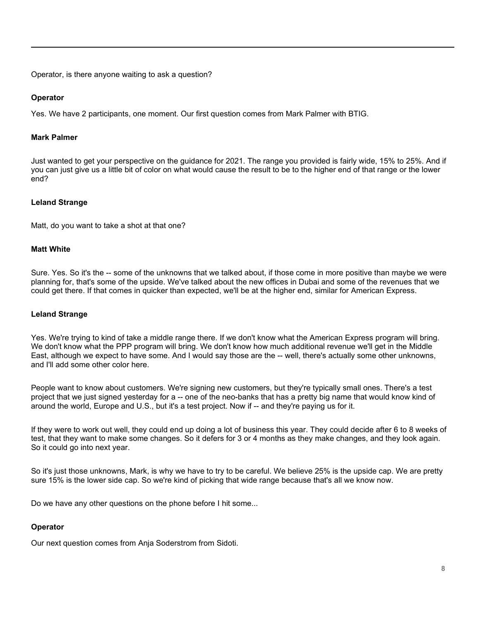Operator, is there anyone waiting to ask a question?

#### **Operator**

Yes. We have 2 participants, one moment. Our first question comes from Mark Palmer with BTIG.

#### **Mark Palmer**

Just wanted to get your perspective on the guidance for 2021. The range you provided is fairly wide, 15% to 25%. And if you can just give us a little bit of color on what would cause the result to be to the higher end of that range or the lower end?

#### **Leland Strange**

Matt, do you want to take a shot at that one?

#### **Matt White**

Sure. Yes. So it's the -- some of the unknowns that we talked about, if those come in more positive than maybe we were planning for, that's some of the upside. We've talked about the new offices in Dubai and some of the revenues that we could get there. If that comes in quicker than expected, we'll be at the higher end, similar for American Express.

#### **Leland Strange**

Yes. We're trying to kind of take a middle range there. If we don't know what the American Express program will bring. We don't know what the PPP program will bring. We don't know how much additional revenue we'll get in the Middle East, although we expect to have some. And I would say those are the -- well, there's actually some other unknowns, and I'll add some other color here.

People want to know about customers. We're signing new customers, but they're typically small ones. There's a test project that we just signed yesterday for a -- one of the neo-banks that has a pretty big name that would know kind of around the world, Europe and U.S., but it's a test project. Now if -- and they're paying us for it.

If they were to work out well, they could end up doing a lot of business this year. They could decide after 6 to 8 weeks of test, that they want to make some changes. So it defers for 3 or 4 months as they make changes, and they look again. So it could go into next year.

So it's just those unknowns, Mark, is why we have to try to be careful. We believe 25% is the upside cap. We are pretty sure 15% is the lower side cap. So we're kind of picking that wide range because that's all we know now.

Do we have any other questions on the phone before I hit some...

#### **Operator**

Our next question comes from Anja Soderstrom from Sidoti.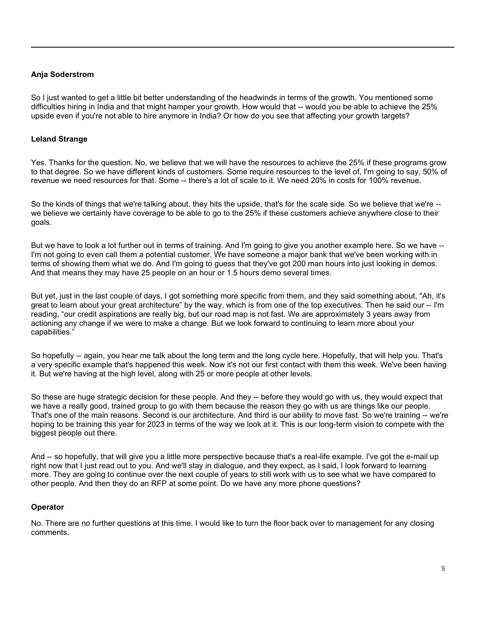#### **Anja Soderstrom**

So I just wanted to get a little bit better understanding of the headwinds in terms of the growth. You mentioned some difficulties hiring in India and that might hamper your growth. How would that -- would you be able to achieve the 25% upside even if you're not able to hire anymore in India? Or how do you see that affecting your growth targets?

#### **Leland Strange**

Yes. Thanks for the question. No, we believe that we will have the resources to achieve the 25% if these programs grow to that degree. So we have different kinds of customers. Some require resources to the level of, I'm going to say, 50% of revenue we need resources for that. Some -- there's a lot of scale to it. We need 20% in costs for 100% revenue.

So the kinds of things that we're talking about, they hits the upside, that's for the scale side. So we believe that we're - we believe we certainly have coverage to be able to go to the 25% if these customers achieve anywhere close to their goals.

But we have to look a lot further out in terms of training. And I'm going to give you another example here. So we have -- I'm not going to even call them a potential customer. We have someone a major bank that we've been working with in terms of showing them what we do. And I'm going to guess that they've got 200 man hours into just looking in demos. And that means they may have 25 people on an hour or 1.5 hours demo several times.

But yet, just in the last couple of days, I got something more specific from them, and they said something about, "Ah, it's great to learn about your great architecture" by the way, which is from one of the top executives. Then he said our -- I'm reading, "our credit aspirations are really big, but our road map is not fast. We are approximately 3 years away from actioning any change if we were to make a change. But we look forward to continuing to learn more about your capabilities."

So hopefully -- again, you hear me talk about the long term and the long cycle here. Hopefully, that will help you. That's a very specific example that's happened this week. Now it's not our first contact with them this week. We've been having it. But we're having at the high level, along with 25 or more people at other levels.

So these are huge strategic decision for these people. And they -- before they would go with us, they would expect that we have a really good, trained group to go with them because the reason they go with us are things like our people. That's one of the main reasons. Second is our architecture. And third is our ability to move fast. So we're training -- we're hoping to be training this year for 2023 in terms of the way we look at it. This is our long-term vision to compete with the biggest people out there.

And -- so hopefully, that will give you a little more perspective because that's a real-life example. I've got the e-mail up right now that I just read out to you. And we'll stay in dialogue, and they expect, as I said, I look forward to learning more. They are going to continue over the next couple of years to still work with us to see what we have compared to other people. And then they do an RFP at some point. Do we have any more phone questions?

#### **Operator**

No. There are no further questions at this time. I would like to turn the floor back over to management for any closing comments.